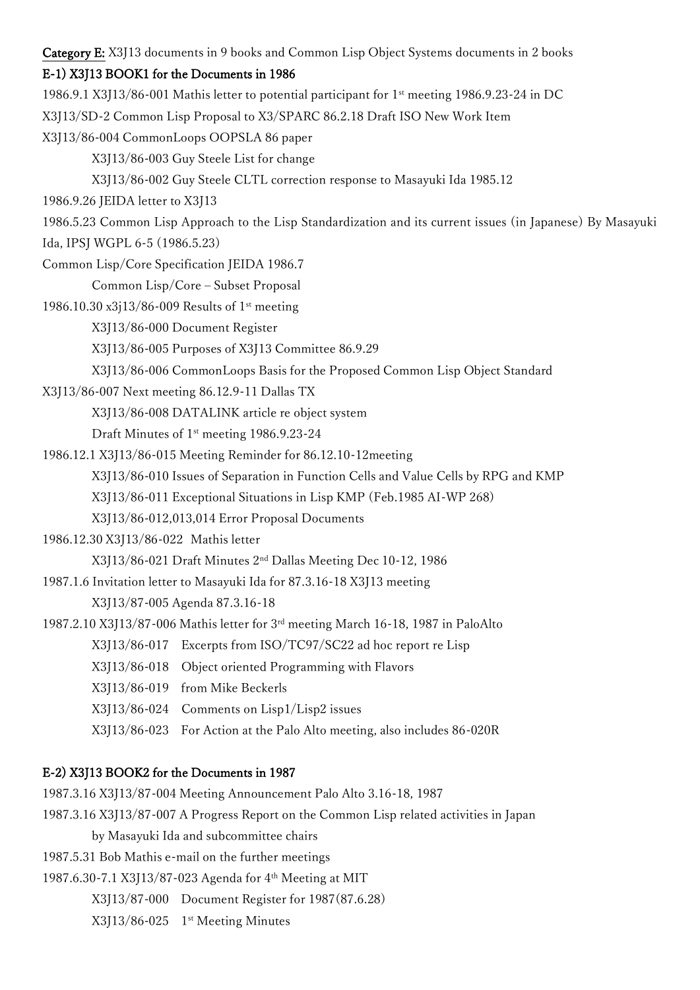Category E: X3J13 documents in 9 books and Common Lisp Object Systems documents in 2 books

## E-1) X3J13 BOOK1 for the Documents in 1986

1986.9.1 X3J13/86-001 Mathis letter to potential participant for 1st meeting 1986.9.23-24 in DC

X3J13/SD-2 Common Lisp Proposal to X3/SPARC 86.2.18 Draft ISO New Work Item

X3J13/86-004 CommonLoops OOPSLA 86 paper

X3J13/86-003 Guy Steele List for change

X3J13/86-002 Guy Steele CLTL correction response to Masayuki Ida 1985.12

1986.9.26 JEIDA letter to X3J13

1986.5.23 Common Lisp Approach to the Lisp Standardization and its current issues (in Japanese) By Masayuki Ida, IPSJ WGPL 6-5 (1986.5.23)

Common Lisp/Core Specification JEIDA 1986.7

Common Lisp/Core – Subset Proposal

- 1986.10.30 x3j13/86-009 Results of 1st meeting
	- X3J13/86-000 Document Register
	- X3J13/86-005 Purposes of X3J13 Committee 86.9.29
	- X3J13/86-006 CommonLoops Basis for the Proposed Common Lisp Object Standard
- X3J13/86-007 Next meeting 86.12.9-11 Dallas TX

X3J13/86-008 DATALINK article re object system

Draft Minutes of 1st meeting 1986.9.23-24

- 1986.12.1 X3J13/86-015 Meeting Reminder for 86.12.10-12meeting
	- X3J13/86-010 Issues of Separation in Function Cells and Value Cells by RPG and KMP

X3J13/86-011 Exceptional Situations in Lisp KMP (Feb.1985 AI-WP 268)

X3J13/86-012,013,014 Error Proposal Documents

1986.12.30 X3J13/86-022 Mathis letter

X3J13/86-021 Draft Minutes 2nd Dallas Meeting Dec 10-12, 1986

- 1987.1.6 Invitation letter to Masayuki Ida for 87.3.16-18 X3J13 meeting X3J13/87-005 Agenda 87.3.16-18
- 1987.2.10 X3J13/87-006 Mathis letter for 3rd meeting March 16-18, 1987 in PaloAlto

X3J13/86-017 Excerpts from ISO/TC97/SC22 ad hoc report re Lisp

- X3J13/86-018 Object oriented Programming with Flavors
- X3J13/86-019 from Mike Beckerls
- X3J13/86-024 Comments on Lisp1/Lisp2 issues
- X3J13/86-023 For Action at the Palo Alto meeting, also includes 86-020R

# E-2) X3J13 BOOK2 for the Documents in 1987

1987.3.16 X3J13/87-004 Meeting Announcement Palo Alto 3.16-18, 1987

- 1987.3.16 X3J13/87-007 A Progress Report on the Common Lisp related activities in Japan
	- by Masayuki Ida and subcommittee chairs
- 1987.5.31 Bob Mathis e-mail on the further meetings

1987.6.30-7.1 X3J13/87-023 Agenda for 4th Meeting at MIT

- X3J13/87-000 Document Register for 1987(87.6.28)
- X3J13/86-025 1st Meeting Minutes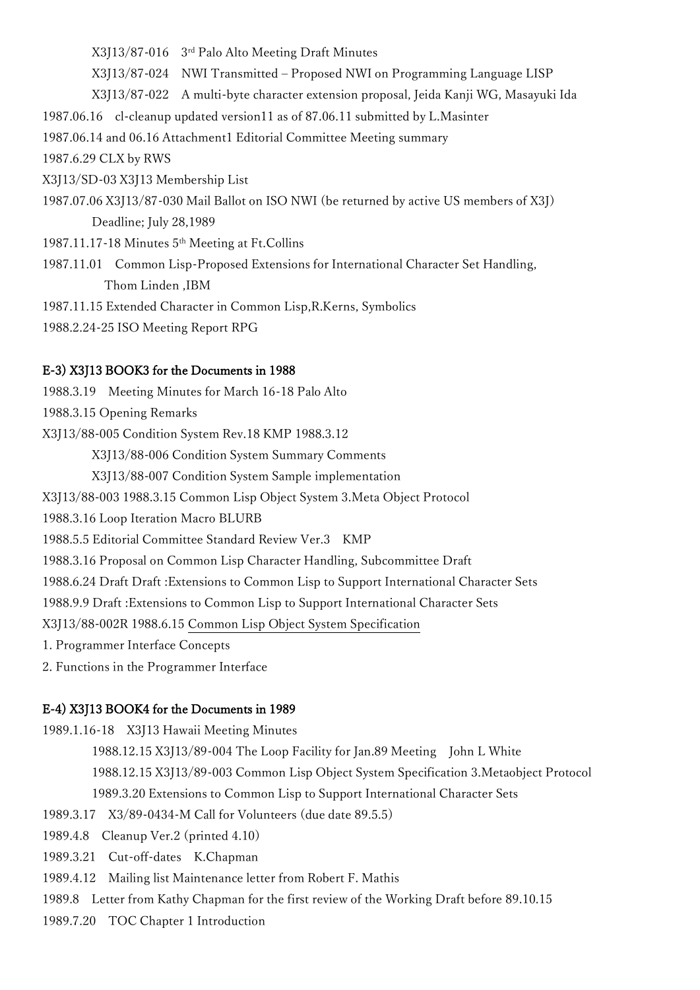X3J13/87-016 3rd Palo Alto Meeting Draft Minutes

X3J13/87-024 NWI Transmitted – Proposed NWI on Programming Language LISP

X3J13/87-022 A multi-byte character extension proposal, Jeida Kanji WG, Masayuki Ida

1987.06.16 cl-cleanup updated version11 as of 87.06.11 submitted by L.Masinter

1987.06.14 and 06.16 Attachment1 Editorial Committee Meeting summary

1987.6.29 CLX by RWS

X3J13/SD-03 X3J13 Membership List

1987.07.06 X3J13/87-030 Mail Ballot on ISO NWI (be returned by active US members of X3J) Deadline; July 28,1989

1987.11.17-18 Minutes 5th Meeting at Ft.Collins

1987.11.01 Common Lisp-Proposed Extensions for International Character Set Handling, Thom Linden ,IBM

1987.11.15 Extended Character in Common Lisp,R.Kerns, Symbolics

1988.2.24-25 ISO Meeting Report RPG

#### E-3) X3J13 BOOK3 for the Documents in 1988

1988.3.19 Meeting Minutes for March 16-18 Palo Alto

1988.3.15 Opening Remarks

X3J13/88-005 Condition System Rev.18 KMP 1988.3.12

X3J13/88-006 Condition System Summary Comments

X3J13/88-007 Condition System Sample implementation

X3J13/88-003 1988.3.15 Common Lisp Object System 3.Meta Object Protocol

1988.3.16 Loop Iteration Macro BLURB

1988.5.5 Editorial Committee Standard Review Ver.3 KMP

1988.3.16 Proposal on Common Lisp Character Handling, Subcommittee Draft

1988.6.24 Draft Draft :Extensions to Common Lisp to Support International Character Sets

1988.9.9 Draft :Extensions to Common Lisp to Support International Character Sets

X3J13/88-002R 1988.6.15 Common Lisp Object System Specification

1. Programmer Interface Concepts

2. Functions in the Programmer Interface

#### E-4) X3J13 BOOK4 for the Documents in 1989

1989.1.16-18 X3J13 Hawaii Meeting Minutes

1988.12.15 X3J13/89-004 The Loop Facility for Jan.89 Meeting John L White 1988.12.15 X3J13/89-003 Common Lisp Object System Specification 3.Metaobject Protocol

1989.3.20 Extensions to Common Lisp to Support International Character Sets

1989.3.17 X3/89-0434-M Call for Volunteers (due date 89.5.5)

1989.4.8 Cleanup Ver.2 (printed 4.10)

1989.3.21 Cut-off-dates K.Chapman

1989.4.12 Mailing list Maintenance letter from Robert F. Mathis

1989.8 Letter from Kathy Chapman for the first review of the Working Draft before 89.10.15

1989.7.20 TOC Chapter 1 Introduction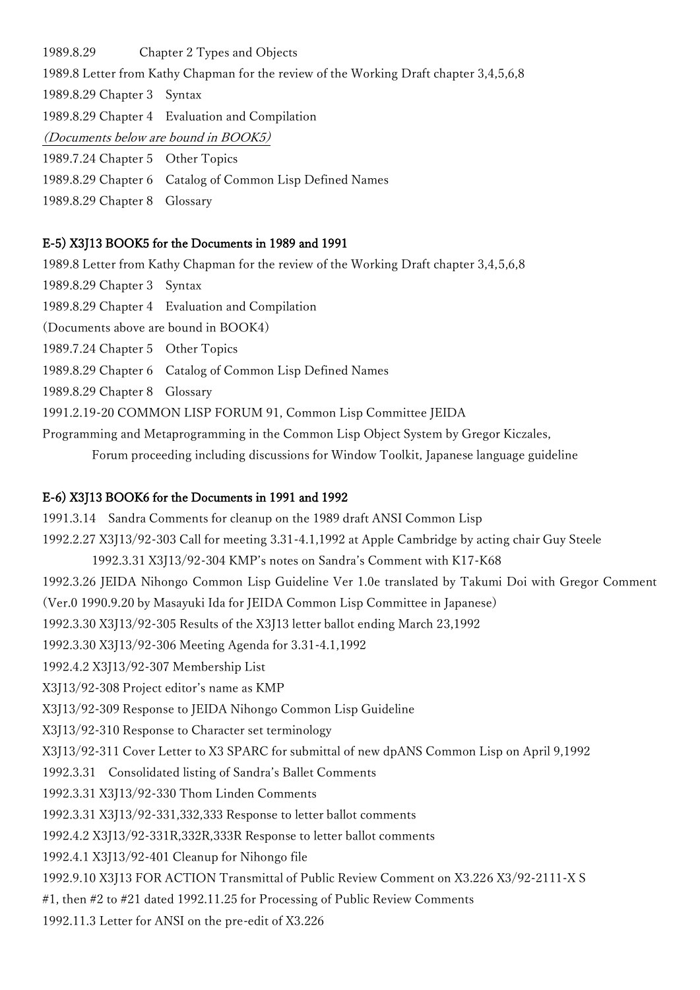1989.8.29 Chapter 2 Types and Objects 1989.8 Letter from Kathy Chapman for the review of the Working Draft chapter 3,4,5,6,8 1989.8.29 Chapter 3 Syntax 1989.8.29 Chapter 4 Evaluation and Compilation (Documents below are bound in BOOK5) 1989.7.24 Chapter 5 Other Topics 1989.8.29 Chapter 6 Catalog of Common Lisp Defined Names 1989.8.29 Chapter 8 Glossary

#### E-5) X3J13 BOOK5 for the Documents in 1989 and 1991

1989.8 Letter from Kathy Chapman for the review of the Working Draft chapter 3,4,5,6,8

- 1989.8.29 Chapter 3 Syntax
- 1989.8.29 Chapter 4 Evaluation and Compilation

(Documents above are bound in BOOK4)

- 1989.7.24 Chapter 5 Other Topics
- 1989.8.29 Chapter 6 Catalog of Common Lisp Defined Names
- 1989.8.29 Chapter 8 Glossary
- 1991.2.19-20 COMMON LISP FORUM 91, Common Lisp Committee JEIDA
- Programming and Metaprogramming in the Common Lisp Object System by Gregor Kiczales,

Forum proceeding including discussions for Window Toolkit, Japanese language guideline

#### E-6) X3J13 BOOK6 for the Documents in 1991 and 1992

1991.3.14 Sandra Comments for cleanup on the 1989 draft ANSI Common Lisp 1992.2.27 X3J13/92-303 Call for meeting 3.31-4.1,1992 at Apple Cambridge by acting chair Guy Steele 1992.3.31 X3J13/92-304 KMP's notes on Sandra's Comment with K17-K68 1992.3.26 JEIDA Nihongo Common Lisp Guideline Ver 1.0e translated by Takumi Doi with Gregor Comment (Ver.0 1990.9.20 by Masayuki Ida for JEIDA Common Lisp Committee in Japanese) 1992.3.30 X3J13/92-305 Results of the X3J13 letter ballot ending March 23,1992 1992.3.30 X3J13/92-306 Meeting Agenda for 3.31-4.1,1992 1992.4.2 X3J13/92-307 Membership List X3J13/92-308 Project editor's name as KMP X3J13/92-309 Response to JEIDA Nihongo Common Lisp Guideline X3J13/92-310 Response to Character set terminology X3J13/92-311 Cover Letter to X3 SPARC for submittal of new dpANS Common Lisp on April 9,1992 1992.3.31 Consolidated listing of Sandra's Ballet Comments 1992.3.31 X3J13/92-330 Thom Linden Comments 1992.3.31 X3J13/92-331,332,333 Response to letter ballot comments 1992.4.2 X3J13/92-331R,332R,333R Response to letter ballot comments 1992.4.1 X3J13/92-401 Cleanup for Nihongo file 1992.9.10 X3J13 FOR ACTION Transmittal of Public Review Comment on X3.226 X3/92-2111-X S #1, then #2 to #21 dated 1992.11.25 for Processing of Public Review Comments 1992.11.3 Letter for ANSI on the pre-edit of X3.226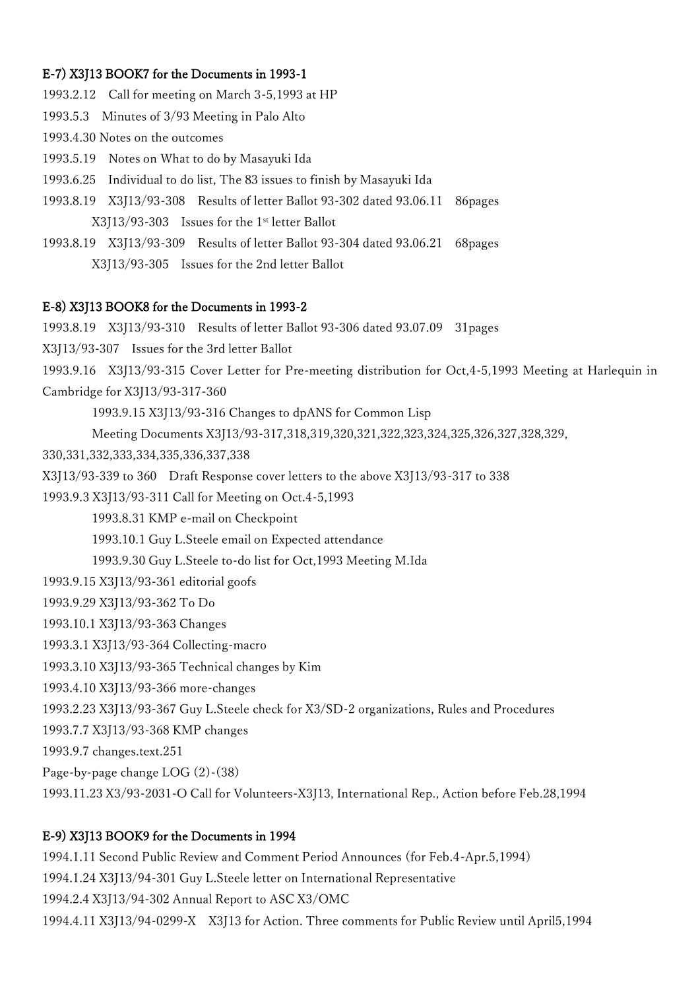## E-7) X3J13 BOOK7 for the Documents in 1993-1

1993.2.12 Call for meeting on March 3-5,1993 at HP 1993.5.3 Minutes of 3/93 Meeting in Palo Alto 1993.4.30 Notes on the outcomes 1993.5.19 Notes on What to do by Masayuki Ida 1993.6.25 Individual to do list, The 83 issues to finish by Masayuki Ida 1993.8.19 X3J13/93-308 Results of letter Ballot 93-302 dated 93.06.11 86pages X3J13/93-303 Issues for the 1st letter Ballot 1993.8.19 X3J13/93-309 Results of letter Ballot 93-304 dated 93.06.21 68pages X3J13/93-305 Issues for the 2nd letter Ballot

### E-8) X3J13 BOOK8 for the Documents in 1993-2

1993.8.19 X3J13/93-310 Results of letter Ballot 93-306 dated 93.07.09 31pages X3J13/93-307 Issues for the 3rd letter Ballot 1993.9.16 X3J13/93-315 Cover Letter for Pre-meeting distribution for Oct,4-5,1993 Meeting at Harlequin in Cambridge for X3J13/93-317-360 1993.9.15 X3J13/93-316 Changes to dpANS for Common Lisp Meeting Documents X3J13/93-317,318,319,320,321,322,323,324,325,326,327,328,329, 330,331,332,333,334,335,336,337,338 X3J13/93-339 to 360 Draft Response cover letters to the above X3J13/93-317 to 338 1993.9.3 X3J13/93-311 Call for Meeting on Oct.4-5,1993 1993.8.31 KMP e-mail on Checkpoint 1993.10.1 Guy L.Steele email on Expected attendance 1993.9.30 Guy L.Steele to-do list for Oct,1993 Meeting M.Ida 1993.9.15 X3J13/93-361 editorial goofs 1993.9.29 X3J13/93-362 To Do 1993.10.1 X3J13/93-363 Changes 1993.3.1 X3J13/93-364 Collecting-macro 1993.3.10 X3J13/93-365 Technical changes by Kim 1993.4.10 X3J13/93-366 more-changes 1993.2.23 X3J13/93-367 Guy L.Steele check for X3/SD-2 organizations, Rules and Procedures 1993.7.7 X3J13/93-368 KMP changes 1993.9.7 changes.text.251 Page-by-page change LOG (2)-(38) 1993.11.23 X3/93-2031-O Call for Volunteers-X3J13, International Rep., Action before Feb.28,1994

### E-9) X3J13 BOOK9 for the Documents in 1994

1994.1.11 Second Public Review and Comment Period Announces (for Feb.4-Apr.5,1994) 1994.1.24 X3J13/94-301 Guy L.Steele letter on International Representative 1994.2.4 X3J13/94-302 Annual Report to ASC X3/OMC 1994.4.11 X3J13/94-0299-X X3J13 for Action. Three comments for Public Review until April5,1994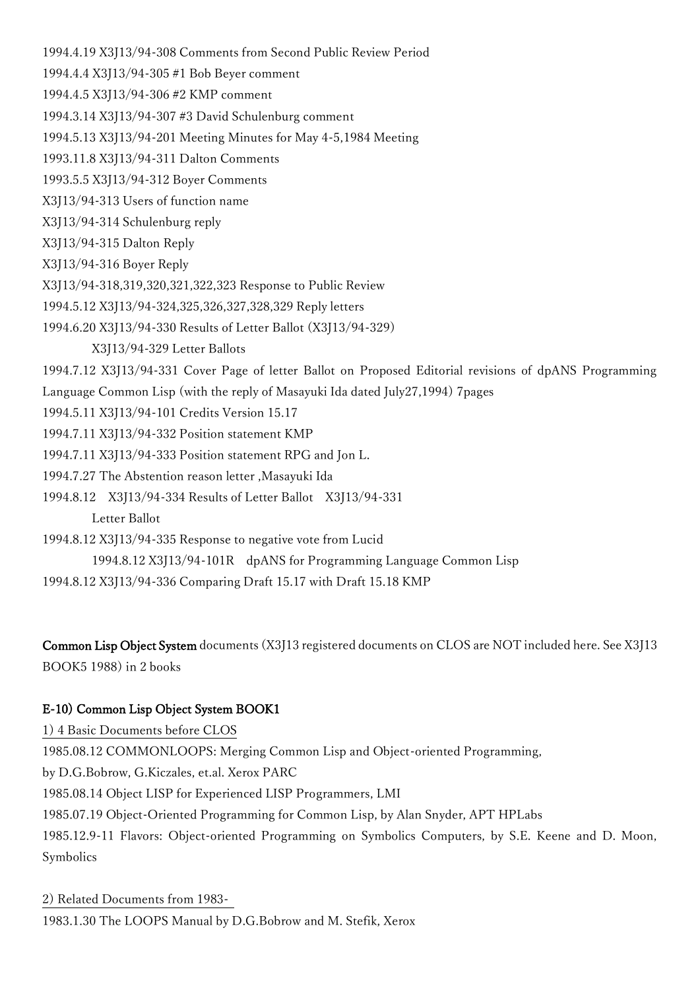1994.4.19 X3J13/94-308 Comments from Second Public Review Period

1994.4.4 X3J13/94-305 #1 Bob Beyer comment

1994.4.5 X3J13/94-306 #2 KMP comment

1994.3.14 X3J13/94-307 #3 David Schulenburg comment

1994.5.13 X3J13/94-201 Meeting Minutes for May 4-5,1984 Meeting

1993.11.8 X3J13/94-311 Dalton Comments

1993.5.5 X3J13/94-312 Boyer Comments

X3J13/94-313 Users of function name

X3J13/94-314 Schulenburg reply

X3J13/94-315 Dalton Reply

X3J13/94-316 Boyer Reply

X3J13/94-318,319,320,321,322,323 Response to Public Review

1994.5.12 X3J13/94-324,325,326,327,328,329 Reply letters

1994.6.20 X3J13/94-330 Results of Letter Ballot (X3J13/94-329)

X3J13/94-329 Letter Ballots

1994.7.12 X3J13/94-331 Cover Page of letter Ballot on Proposed Editorial revisions of dpANS Programming Language Common Lisp (with the reply of Masayuki Ida dated July27,1994) 7pages

1994.5.11 X3J13/94-101 Credits Version 15.17

1994.7.11 X3J13/94-332 Position statement KMP

1994.7.11 X3J13/94-333 Position statement RPG and Jon L.

1994.7.27 The Abstention reason letter ,Masayuki Ida

1994.8.12 X3J13/94-334 Results of Letter Ballot X3J13/94-331

Letter Ballot

1994.8.12 X3J13/94-335 Response to negative vote from Lucid

1994.8.12 X3J13/94-101R dpANS for Programming Language Common Lisp

1994.8.12 X3J13/94-336 Comparing Draft 15.17 with Draft 15.18 KMP

Common Lisp Object System documents (X3J13 registered documents on CLOS are NOT included here. See X3J13 BOOK5 1988) in 2 books

# E-10) Common Lisp Object System BOOK1

1) 4 Basic Documents before CLOS 1985.08.12 COMMONLOOPS: Merging Common Lisp and Object-oriented Programming, by D.G.Bobrow, G.Kiczales, et.al. Xerox PARC 1985.08.14 Object LISP for Experienced LISP Programmers, LMI 1985.07.19 Object-Oriented Programming for Common Lisp, by Alan Snyder, APT HPLabs 1985.12.9-11 Flavors: Object-oriented Programming on Symbolics Computers, by S.E. Keene and D. Moon, Symbolics

2) Related Documents from 1983- 1983.1.30 The LOOPS Manual by D.G.Bobrow and M. Stefik, Xerox